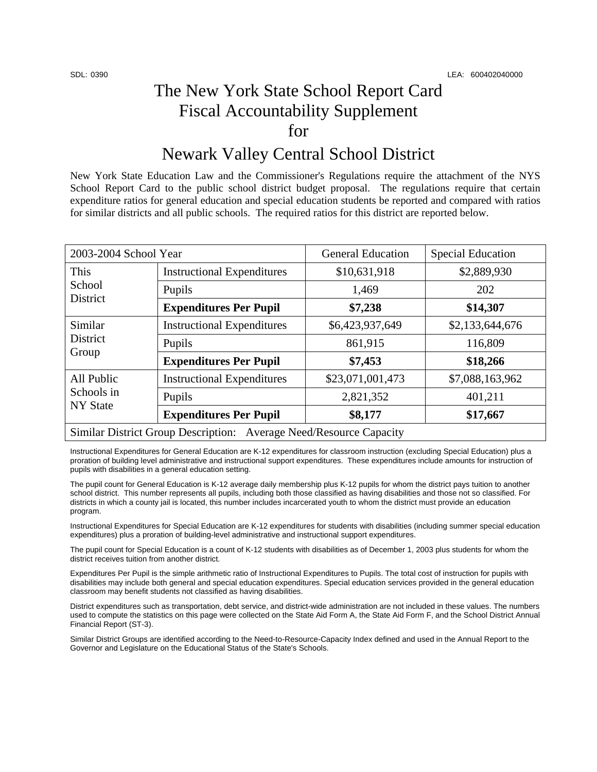## The New York State School Report Card Fiscal Accountability Supplement for

## Newark Valley Central School District

New York State Education Law and the Commissioner's Regulations require the attachment of the NYS School Report Card to the public school district budget proposal. The regulations require that certain expenditure ratios for general education and special education students be reported and compared with ratios for similar districts and all public schools. The required ratios for this district are reported below.

| 2003-2004 School Year                                              |                                   | <b>General Education</b> | <b>Special Education</b> |  |
|--------------------------------------------------------------------|-----------------------------------|--------------------------|--------------------------|--|
| This<br>School<br>District                                         | <b>Instructional Expenditures</b> | \$10,631,918             | \$2,889,930              |  |
|                                                                    | Pupils                            | 1,469                    | 202                      |  |
|                                                                    | <b>Expenditures Per Pupil</b>     | \$7,238                  | \$14,307                 |  |
| Similar<br><b>District</b><br>Group                                | <b>Instructional Expenditures</b> | \$6,423,937,649          | \$2,133,644,676          |  |
|                                                                    | Pupils                            | 861,915                  | 116,809                  |  |
|                                                                    | <b>Expenditures Per Pupil</b>     | \$7,453                  | \$18,266                 |  |
| All Public<br>Schools in<br><b>NY</b> State                        | <b>Instructional Expenditures</b> | \$23,071,001,473         | \$7,088,163,962          |  |
|                                                                    | Pupils                            | 2,821,352                | 401,211                  |  |
|                                                                    | <b>Expenditures Per Pupil</b>     | \$8,177                  | \$17,667                 |  |
| Similar District Group Description: Average Need/Resource Capacity |                                   |                          |                          |  |

Instructional Expenditures for General Education are K-12 expenditures for classroom instruction (excluding Special Education) plus a proration of building level administrative and instructional support expenditures. These expenditures include amounts for instruction of pupils with disabilities in a general education setting.

The pupil count for General Education is K-12 average daily membership plus K-12 pupils for whom the district pays tuition to another school district. This number represents all pupils, including both those classified as having disabilities and those not so classified. For districts in which a county jail is located, this number includes incarcerated youth to whom the district must provide an education program.

Instructional Expenditures for Special Education are K-12 expenditures for students with disabilities (including summer special education expenditures) plus a proration of building-level administrative and instructional support expenditures.

The pupil count for Special Education is a count of K-12 students with disabilities as of December 1, 2003 plus students for whom the district receives tuition from another district.

Expenditures Per Pupil is the simple arithmetic ratio of Instructional Expenditures to Pupils. The total cost of instruction for pupils with disabilities may include both general and special education expenditures. Special education services provided in the general education classroom may benefit students not classified as having disabilities.

District expenditures such as transportation, debt service, and district-wide administration are not included in these values. The numbers used to compute the statistics on this page were collected on the State Aid Form A, the State Aid Form F, and the School District Annual Financial Report (ST-3).

Similar District Groups are identified according to the Need-to-Resource-Capacity Index defined and used in the Annual Report to the Governor and Legislature on the Educational Status of the State's Schools.